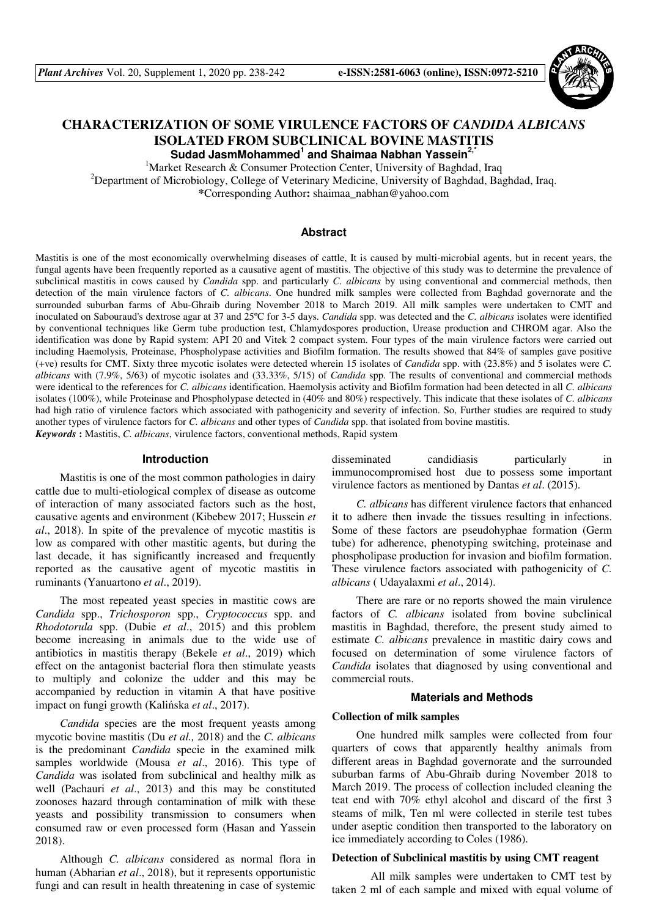

# **CHARACTERIZATION OF SOME VIRULENCE FACTORS OF** *CANDIDA ALBICANS* **ISOLATED FROM SUBCLINICAL BOVINE MASTITIS Sudad JasmMohammed<sup>1</sup> and Shaimaa Nabhan Yassein2,\***

<sup>1</sup>Market Research & Consumer Protection Center, University of Baghdad, Iraq <sup>2</sup>Department of Microbiology, College of Veterinary Medicine, University of Baghdad, Baghdad, Iraq. **\***Corresponding Author**:** shaimaa\_nabhan@yahoo.com

# **Abstract**

Mastitis is one of the most economically overwhelming diseases of cattle, It is caused by multi-microbial agents, but in recent years, the fungal agents have been frequently reported as a causative agent of mastitis. The objective of this study was to determine the prevalence of subclinical mastitis in cows caused by *Candida* spp. and particularly *C. albicans* by using conventional and commercial methods, then detection of the main virulence factors of *C. albicans*. One hundred milk samples were collected from Baghdad governorate and the surrounded suburban farms of Abu-Ghraib during November 2018 to March 2019. All milk samples were undertaken to CMT and inoculated on Sabouraud's dextrose agar at 37 and 25ºC for 3-5 days. *Candida* spp. was detected and the *C. albicans* isolates were identified by conventional techniques like Germ tube production test, Chlamydospores production, Urease production and CHROM agar. Also the identification was done by Rapid system: API 20 and Vitek 2 compact system. Four types of the main virulence factors were carried out including Haemolysis, Proteinase, Phospholypase activities and Biofilm formation. The results showed that 84% of samples gave positive (+ve) results for CMT. Sixty three mycotic isolates were detected wherein 15 isolates of *Candida* spp. with (23.8%) and 5 isolates were *C. albicans* with (7.9%, 5/63) of mycotic isolates and (33.33%, 5/15) of *Candida* spp. The results of conventional and commercial methods were identical to the references for *C. albicans* identification. Haemolysis activity and Biofilm formation had been detected in all *C. albicans* isolates (100%), while Proteinase and Phospholypase detected in (40% and 80%) respectively. This indicate that these isolates of *C. albicans* had high ratio of virulence factors which associated with pathogenicity and severity of infection. So, Further studies are required to study another types of virulence factors for *C. albicans* and other types of *Candida* spp. that isolated from bovine mastitis. *Keywords* **:** Mastitis, *C. albicans*, virulence factors, conventional methods, Rapid system

## **Introduction**

Mastitis is one of the most common pathologies in dairy cattle due to multi-etiological complex of disease as outcome of interaction of many associated factors such as the host, causative agents and environment (Kibebew 2017; Hussein *et al*., 2018). In spite of the prevalence of mycotic mastitis is low as compared with other mastitic agents, but during the last decade, it has significantly increased and frequently reported as the causative agent of mycotic mastitis in ruminants (Yanuartono *et al*., 2019).

The most repeated yeast species in mastitic cows are *Candida* spp., *Trichosporon* spp., *Cryptococcus* spp. and *Rhodotorula* spp. (Dubie *et al*., 2015) and this problem become increasing in animals due to the wide use of antibiotics in mastitis therapy (Bekele *et al*., 2019) which effect on the antagonist bacterial flora then stimulate yeasts to multiply and colonize the udder and this may be accompanied by reduction in vitamin A that have positive impact on fungi growth (Kalińska *et al*., 2017).

*Candida* species are the most frequent yeasts among mycotic bovine mastitis (Du *et al.,* 2018) and the *C. albicans* is the predominant *Candida* specie in the examined milk samples worldwide (Mousa *et al*., 2016). This type of *Candida* was isolated from subclinical and healthy milk as well (Pachauri *et al*., 2013) and this may be constituted zoonoses hazard through contamination of milk with these yeasts and possibility transmission to consumers when consumed raw or even processed form (Hasan and Yassein 2018).

Although *C. albicans* considered as normal flora in human (Abharian *et al*., 2018), but it represents opportunistic fungi and can result in health threatening in case of systemic

disseminated candidiasis particularly in immunocompromised host due to possess some important virulence factors as mentioned by Dantas *et al*. (2015).

*C. albicans* has different virulence factors that enhanced it to adhere then invade the tissues resulting in infections. Some of these factors are pseudohyphae formation (Germ tube) for adherence, phenotyping switching, proteinase and phospholipase production for invasion and biofilm formation. These virulence factors associated with pathogenicity of *C. albicans* ( Udayalaxmi *et al*., 2014).

There are rare or no reports showed the main virulence factors of *C. albicans* isolated from bovine subclinical mastitis in Baghdad, therefore, the present study aimed to estimate *C. albicans* prevalence in mastitic dairy cows and focused on determination of some virulence factors of *Candida* isolates that diagnosed by using conventional and commercial routs.

# **Materials and Methods**

#### **Collection of milk samples**

One hundred milk samples were collected from four quarters of cows that apparently healthy animals from different areas in Baghdad governorate and the surrounded suburban farms of Abu-Ghraib during November 2018 to March 2019. The process of collection included cleaning the teat end with 70% ethyl alcohol and discard of the first 3 steams of milk, Ten ml were collected in sterile test tubes under aseptic condition then transported to the laboratory on ice immediately according to Coles (1986).

#### **Detection of Subclinical mastitis by using CMT reagent**

 All milk samples were undertaken to CMT test by taken 2 ml of each sample and mixed with equal volume of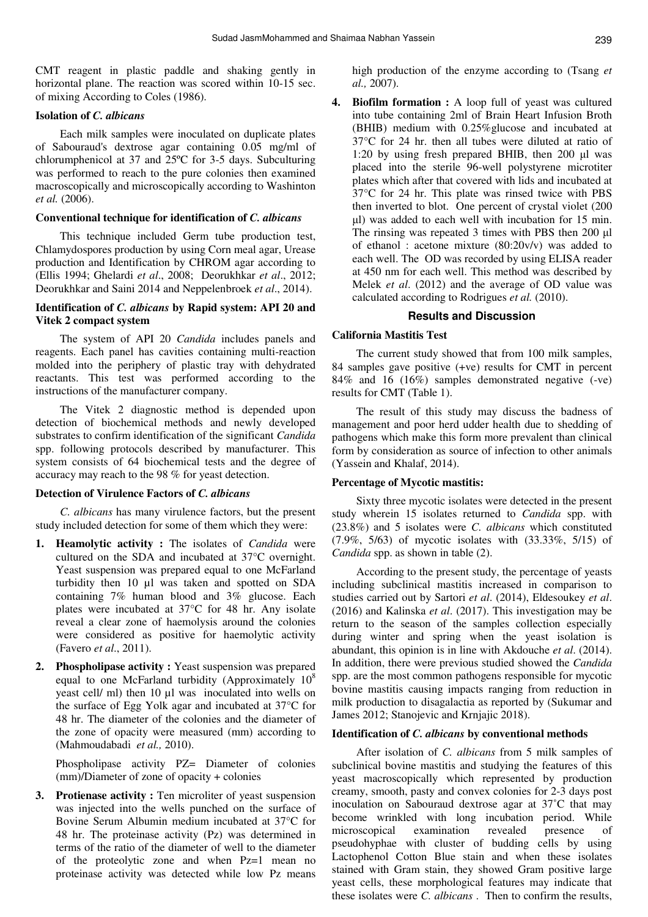CMT reagent in plastic paddle and shaking gently in horizontal plane. The reaction was scored within 10-15 sec. of mixing According to Coles (1986).

## **Isolation of** *C. albicans*

Each milk samples were inoculated on duplicate plates of Sabouraud's dextrose agar containing 0.05 mg/ml of chlorumphenicol at 37 and 25ºC for 3-5 days. Subculturing was performed to reach to the pure colonies then examined macroscopically and microscopically according to Washinton *et al.* (2006).

# **Conventional technique for identification of** *C. albicans*

This technique included Germ tube production test, Chlamydospores production by using Corn meal agar, Urease production and Identification by CHROM agar according to (Ellis 1994; Ghelardi *et al*., 2008; Deorukhkar *et al*., 2012; Deorukhkar and Saini 2014 and Neppelenbroek *et al*., 2014).

# **Identification of** *C. albicans* **by Rapid system: API 20 and Vitek 2 compact system**

The system of API 20 *Candida* includes panels and reagents. Each panel has cavities containing multi-reaction molded into the periphery of plastic tray with dehydrated reactants. This test was performed according to the instructions of the manufacturer company.

The Vitek 2 diagnostic method is depended upon detection of biochemical methods and newly developed substrates to confirm identification of the significant *Candida* spp. following protocols described by manufacturer. This system consists of 64 biochemical tests and the degree of accuracy may reach to the 98 % for yeast detection.

## **Detection of Virulence Factors of** *C. albicans*

*C. albicans* has many virulence factors, but the present study included detection for some of them which they were:

- **1. Heamolytic activity :** The isolates of *Candida* were cultured on the SDA and incubated at 37°C overnight. Yeast suspension was prepared equal to one McFarland turbidity then 10 µl was taken and spotted on SDA containing 7% human blood and 3% glucose. Each plates were incubated at 37°C for 48 hr. Any isolate reveal a clear zone of haemolysis around the colonies were considered as positive for haemolytic activity (Favero *et al*., 2011).
- **2. Phospholipase activity :** Yeast suspension was prepared equal to one McFarland turbidity (Approximately  $10<sup>8</sup>$ yeast cell/ ml) then 10 µl was inoculated into wells on the surface of Egg Yolk agar and incubated at 37°C for 48 hr. The diameter of the colonies and the diameter of the zone of opacity were measured (mm) according to (Mahmoudabadi *et al.,* 2010).

Phospholipase activity PZ= Diameter of colonies (mm)/Diameter of zone of opacity + colonies

**3. Protienase activity :** Ten microliter of yeast suspension was injected into the wells punched on the surface of Bovine Serum Albumin medium incubated at 37°C for 48 hr. The proteinase activity (Pz) was determined in terms of the ratio of the diameter of well to the diameter of the proteolytic zone and when Pz=1 mean no proteinase activity was detected while low Pz means

high production of the enzyme according to (Tsang *et al.,* 2007).

**4. Biofilm formation :** A loop full of yeast was cultured into tube containing 2ml of Brain Heart Infusion Broth (BHIB) medium with 0.25%glucose and incubated at 37°C for 24 hr. then all tubes were diluted at ratio of 1:20 by using fresh prepared BHIB, then 200 µl was placed into the sterile 96-well polystyrene microtiter plates which after that covered with lids and incubated at 37°C for 24 hr. This plate was rinsed twice with PBS then inverted to blot. One percent of crystal violet (200 µl) was added to each well with incubation for 15 min. The rinsing was repeated 3 times with PBS then 200 µl of ethanol : acetone mixture (80:20v/v) was added to each well. The OD was recorded by using ELISA reader at 450 nm for each well. This method was described by Melek *et al*. (2012) and the average of OD value was calculated according to Rodrigues *et al.* (2010).

# **Results and Discussion**

#### **California Mastitis Test**

The current study showed that from 100 milk samples, 84 samples gave positive (+ve) results for CMT in percent 84% and 16 (16%) samples demonstrated negative (-ve) results for CMT (Table 1).

The result of this study may discuss the badness of management and poor herd udder health due to shedding of pathogens which make this form more prevalent than clinical form by consideration as source of infection to other animals (Yassein and Khalaf, 2014).

#### **Percentage of Mycotic mastitis:**

Sixty three mycotic isolates were detected in the present study wherein 15 isolates returned to *Candida* spp. with (23.8%) and 5 isolates were *C. albicans* which constituted (7.9%, 5/63) of mycotic isolates with (33.33%, 5/15) of *Candida* spp. as shown in table (2).

According to the present study, the percentage of yeasts including subclinical mastitis increased in comparison to studies carried out by Sartori *et al*. (2014), Eldesoukey *et al*. (2016) and Kalinska *et al*. (2017). This investigation may be return to the season of the samples collection especially during winter and spring when the yeast isolation is abundant, this opinion is in line with Akdouche *et al*. (2014). In addition, there were previous studied showed the *Candida* spp. are the most common pathogens responsible for mycotic bovine mastitis causing impacts ranging from reduction in milk production to disagalactia as reported by (Sukumar and James 2012; Stanojevic and Krnjajic 2018).

## **Identification of** *C. albicans* **by conventional methods**

After isolation of *C. albicans* from 5 milk samples of subclinical bovine mastitis and studying the features of this yeast macroscopically which represented by production creamy, smooth, pasty and convex colonies for 2-3 days post inoculation on Sabouraud dextrose agar at 37˚C that may become wrinkled with long incubation period. While microscopical examination revealed presence of pseudohyphae with cluster of budding cells by using Lactophenol Cotton Blue stain and when these isolates stained with Gram stain, they showed Gram positive large yeast cells, these morphological features may indicate that these isolates were *C. albicans* . Then to confirm the results,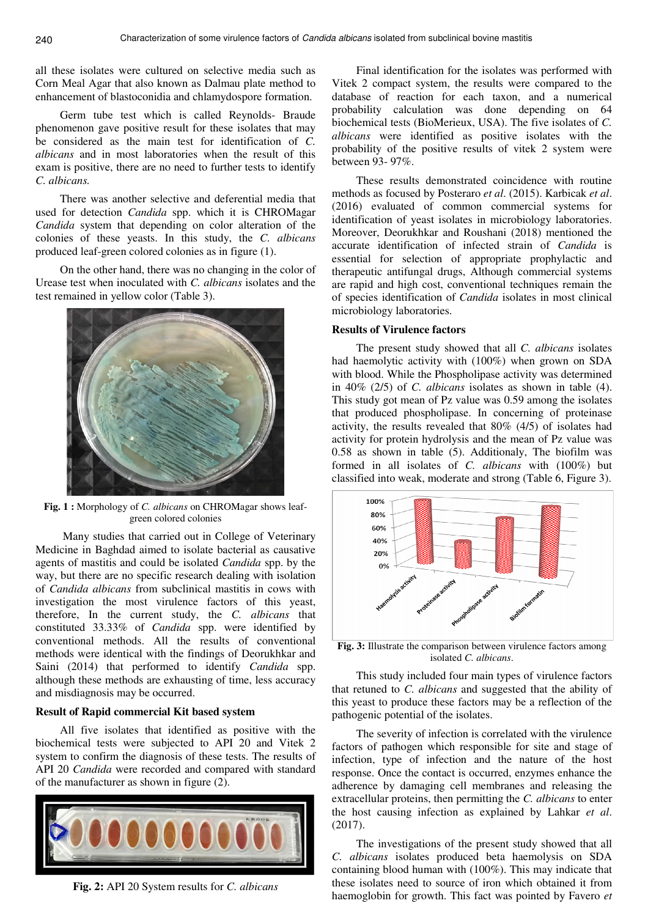all these isolates were cultured on selective media such as Corn Meal Agar that also known as Dalmau plate method to enhancement of blastoconidia and chlamydospore formation.

Germ tube test which is called Reynolds- Braude phenomenon gave positive result for these isolates that may be considered as the main test for identification of *C. albicans* and in most laboratories when the result of this exam is positive, there are no need to further tests to identify *C. albicans.* 

There was another selective and deferential media that used for detection *Candida* spp. which it is CHROMagar *Candida* system that depending on color alteration of the colonies of these yeasts. In this study, the *C. albicans* produced leaf-green colored colonies as in figure (1).

On the other hand, there was no changing in the color of Urease test when inoculated with *C. albicans* isolates and the test remained in yellow color (Table 3).



**Fig. 1 :** Morphology of *C. albicans* on CHROMagar shows leafgreen colored colonies

Many studies that carried out in College of Veterinary Medicine in Baghdad aimed to isolate bacterial as causative agents of mastitis and could be isolated *Candida* spp. by the way, but there are no specific research dealing with isolation of *Candida albicans* from subclinical mastitis in cows with investigation the most virulence factors of this yeast, therefore, In the current study, the *C. albicans* that constituted 33.33% of *Candida* spp. were identified by conventional methods. All the results of conventional methods were identical with the findings of Deorukhkar and Saini (2014) that performed to identify *Candida* spp. although these methods are exhausting of time, less accuracy and misdiagnosis may be occurred.

## **Result of Rapid commercial Kit based system**

All five isolates that identified as positive with the biochemical tests were subjected to API 20 and Vitek 2 system to confirm the diagnosis of these tests. The results of API 20 *Candida* were recorded and compared with standard of the manufacturer as shown in figure (2).



**Fig. 2:** API 20 System results for *C. albicans*

Final identification for the isolates was performed with Vitek 2 compact system, the results were compared to the database of reaction for each taxon, and a numerical probability calculation was done depending on 64 biochemical tests (BioMerieux, USA). The five isolates of *C. albicans* were identified as positive isolates with the probability of the positive results of vitek 2 system were between 93- 97%.

These results demonstrated coincidence with routine methods as focused by Posteraro *et al*. (2015). Karbicak *et al*. (2016) evaluated of common commercial systems for identification of yeast isolates in microbiology laboratories. Moreover, Deorukhkar and Roushani (2018) mentioned the accurate identification of infected strain of *Candida* is essential for selection of appropriate prophylactic and therapeutic antifungal drugs, Although commercial systems are rapid and high cost, conventional techniques remain the of species identification of *Candida* isolates in most clinical microbiology laboratories.

#### **Results of Virulence factors**

The present study showed that all *C. albicans* isolates had haemolytic activity with (100%) when grown on SDA with blood. While the Phospholipase activity was determined in 40% (2/5) of *C. albicans* isolates as shown in table (4). This study got mean of Pz value was 0.59 among the isolates that produced phospholipase. In concerning of proteinase activity, the results revealed that 80% (4/5) of isolates had activity for protein hydrolysis and the mean of Pz value was 0.58 as shown in table (5). Additionaly, The biofilm was formed in all isolates of *C. albicans* with (100%) but classified into weak, moderate and strong (Table 6, Figure 3).



**Fig. 3:** Illustrate the comparison between virulence factors among isolated *C. albicans*.

This study included four main types of virulence factors that retuned to *C. albicans* and suggested that the ability of this yeast to produce these factors may be a reflection of the pathogenic potential of the isolates.

The severity of infection is correlated with the virulence factors of pathogen which responsible for site and stage of infection, type of infection and the nature of the host response. Once the contact is occurred, enzymes enhance the adherence by damaging cell membranes and releasing the extracellular proteins, then permitting the *C. albicans* to enter the host causing infection as explained by Lahkar *et al*. (2017).

The investigations of the present study showed that all *C. albicans* isolates produced beta haemolysis on SDA containing blood human with (100%). This may indicate that these isolates need to source of iron which obtained it from haemoglobin for growth. This fact was pointed by Favero *et*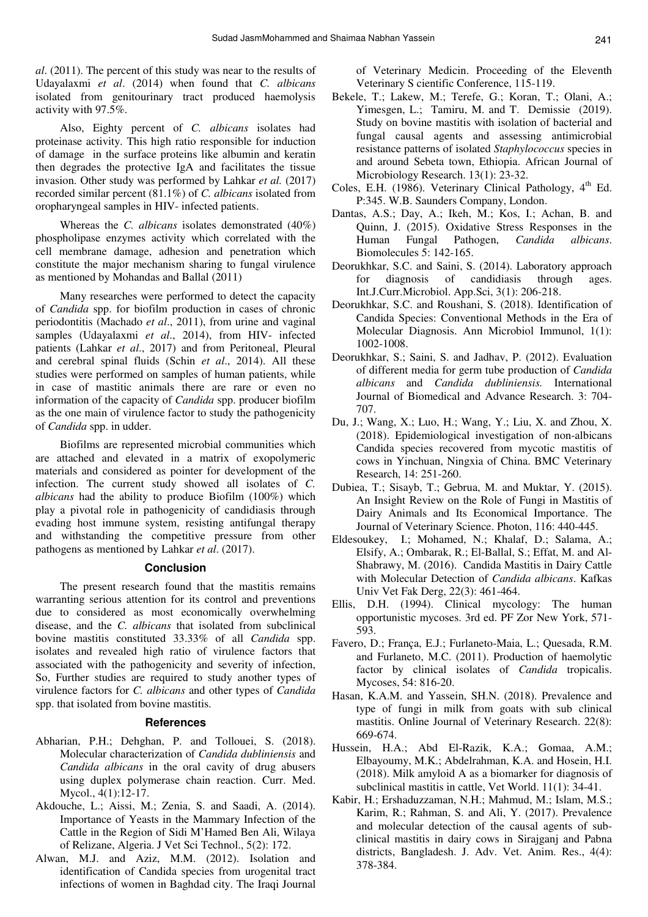*al*. (2011). The percent of this study was near to the results of Udayalaxmi *et al*. (2014) when found that *C. albicans*  isolated from genitourinary tract produced haemolysis activity with 97.5%.

Also, Eighty percent of *C. albicans* isolates had proteinase activity. This high ratio responsible for induction of damage in the surface proteins like albumin and keratin then degrades the protective IgA and facilitates the tissue invasion. Other study was performed by Lahkar *et al.* (2017) recorded similar percent (81.1%) of *C. albicans* isolated from oropharyngeal samples in HIV- infected patients.

Whereas the *C. albicans* isolates demonstrated (40%) phospholipase enzymes activity which correlated with the cell membrane damage, adhesion and penetration which constitute the major mechanism sharing to fungal virulence as mentioned by Mohandas and Ballal (2011)

Many researches were performed to detect the capacity of *Candida* spp. for biofilm production in cases of chronic periodontitis (Machado *et al*., 2011), from urine and vaginal samples (Udayalaxmi *et al*., 2014), from HIV- infected patients (Lahkar *et al*., 2017) and from Peritoneal, Pleural and cerebral spinal fluids (Schin *et al*., 2014). All these studies were performed on samples of human patients, while in case of mastitic animals there are rare or even no information of the capacity of *Candida* spp. producer biofilm as the one main of virulence factor to study the pathogenicity of *Candida* spp. in udder.

Biofilms are represented microbial communities which are attached and elevated in a matrix of exopolymeric materials and considered as pointer for development of the infection. The current study showed all isolates of *C. albicans* had the ability to produce Biofilm (100%) which play a pivotal role in pathogenicity of candidiasis through evading host immune system, resisting antifungal therapy and withstanding the competitive pressure from other pathogens as mentioned by Lahkar *et al*. (2017).

## **Conclusion**

The present research found that the mastitis remains warranting serious attention for its control and preventions due to considered as most economically overwhelming disease, and the *C. albicans* that isolated from subclinical bovine mastitis constituted 33.33% of all *Candida* spp. isolates and revealed high ratio of virulence factors that associated with the pathogenicity and severity of infection, So, Further studies are required to study another types of virulence factors for *C. albicans* and other types of *Candida*  spp. that isolated from bovine mastitis.

#### **References**

- Abharian, P.H.; Dehghan, P. and Tollouei, S. (2018). Molecular characterization of *Candida dubliniensis* and *Candida albicans* in the oral cavity of drug abusers using duplex polymerase chain reaction. Curr. Med. Mycol., 4(1):12-17.
- Akdouche, L.; Aissi, M.; Zenia, S. and Saadi, A. (2014). Importance of Yeasts in the Mammary Infection of the Cattle in the Region of Sidi M'Hamed Ben Ali, Wilaya of Relizane, Algeria. J Vet Sci Technol., 5(2): 172.
- Alwan, M.J. and Aziz, M.M. (2012). Isolation and identification of Candida species from urogenital tract infections of women in Baghdad city. The Iraqi Journal

of Veterinary Medicin. Proceeding of the Eleventh Veterinary S cientific Conference, 115-119.

- Bekele, T.; Lakew, M.; Terefe, G.; Koran, T.; Olani, A.; Yimesgen, L.; Tamiru, M. and T. Demissie (2019). Study on bovine mastitis with isolation of bacterial and fungal causal agents and assessing antimicrobial resistance patterns of isolated *Staphylococcus* species in and around Sebeta town, Ethiopia. African Journal of Microbiology Research. 13(1): 23-32.
- Coles, E.H. (1986). Veterinary Clinical Pathology, 4<sup>th</sup> Ed. P:345. W.B. Saunders Company, London.
- Dantas, A.S.; Day, A.; Ikeh, M.; Kos, I.; Achan, B. and Quinn, J. (2015). Oxidative Stress Responses in the Human Fungal Pathogen, *Candida albicans*. Biomolecules 5: 142-165.
- Deorukhkar, S.C. and Saini, S. (2014). Laboratory approach for diagnosis of candidiasis through ages. Int.J.Curr.Microbiol. App.Sci, 3(1): 206-218.
- Deorukhkar, S.C. and Roushani, S. (2018). Identification of Candida Species: Conventional Methods in the Era of Molecular Diagnosis. Ann Microbiol Immunol, 1(1): 1002-1008.
- Deorukhkar, S.; Saini, S. and Jadhav, P. (2012). Evaluation of different media for germ tube production of *Candida albicans* and *Candida dubliniensis.* International Journal of Biomedical and Advance Research. 3: 704- 707.
- Du, J.; Wang, X.; Luo, H.; Wang, Y.; Liu, X. and Zhou, X. (2018). Epidemiological investigation of non-albicans Candida species recovered from mycotic mastitis of cows in Yinchuan, Ningxia of China. BMC Veterinary Research, 14: 251-260.
- Dubiea, T.; Sisayb, T.; Gebrua, M. and Muktar, Y. (2015). An Insight Review on the Role of Fungi in Mastitis of Dairy Animals and Its Economical Importance. The Journal of Veterinary Science. Photon, 116: 440-445.
- Eldesoukey, I.; Mohamed, N.; Khalaf, D.; Salama, A.; Elsify, A.; Ombarak, R.; El-Ballal, S.; Effat, M. and Al-Shabrawy, M. (2016). Candida Mastitis in Dairy Cattle with Molecular Detection of *Candida albicans*. Kafkas Univ Vet Fak Derg, 22(3): 461-464.
- Ellis, D.H. (1994). Clinical mycology: The human opportunistic mycoses. 3rd ed. PF Zor New York, 571- 593.
- Favero, D.; França, E.J.; Furlaneto-Maia, L.; Quesada, R.M. and Furlaneto, M.C. (2011). Production of haemolytic factor by clinical isolates of *Candida* tropicalis. Mycoses, 54: 816-20.
- Hasan, K.A.M. and Yassein, SH.N. (2018). Prevalence and type of fungi in milk from goats with sub clinical mastitis. Online Journal of Veterinary Research. 22(8): 669-674.
- Hussein, H.A.; Abd El-Razik, K.A.; Gomaa, A.M.; Elbayoumy, M.K.; Abdelrahman, K.A. and Hosein, H.I. (2018). Milk amyloid A as a biomarker for diagnosis of subclinical mastitis in cattle, Vet World. 11(1): 34-41.
- Kabir, H.; Ershaduzzaman, N.H.; Mahmud, M.; Islam, M.S.; Karim, R.; Rahman, S. and Ali, Y. (2017). Prevalence and molecular detection of the causal agents of subclinical mastitis in dairy cows in Sirajganj and Pabna districts, Bangladesh. J. Adv. Vet. Anim. Res., 4(4): 378-384.